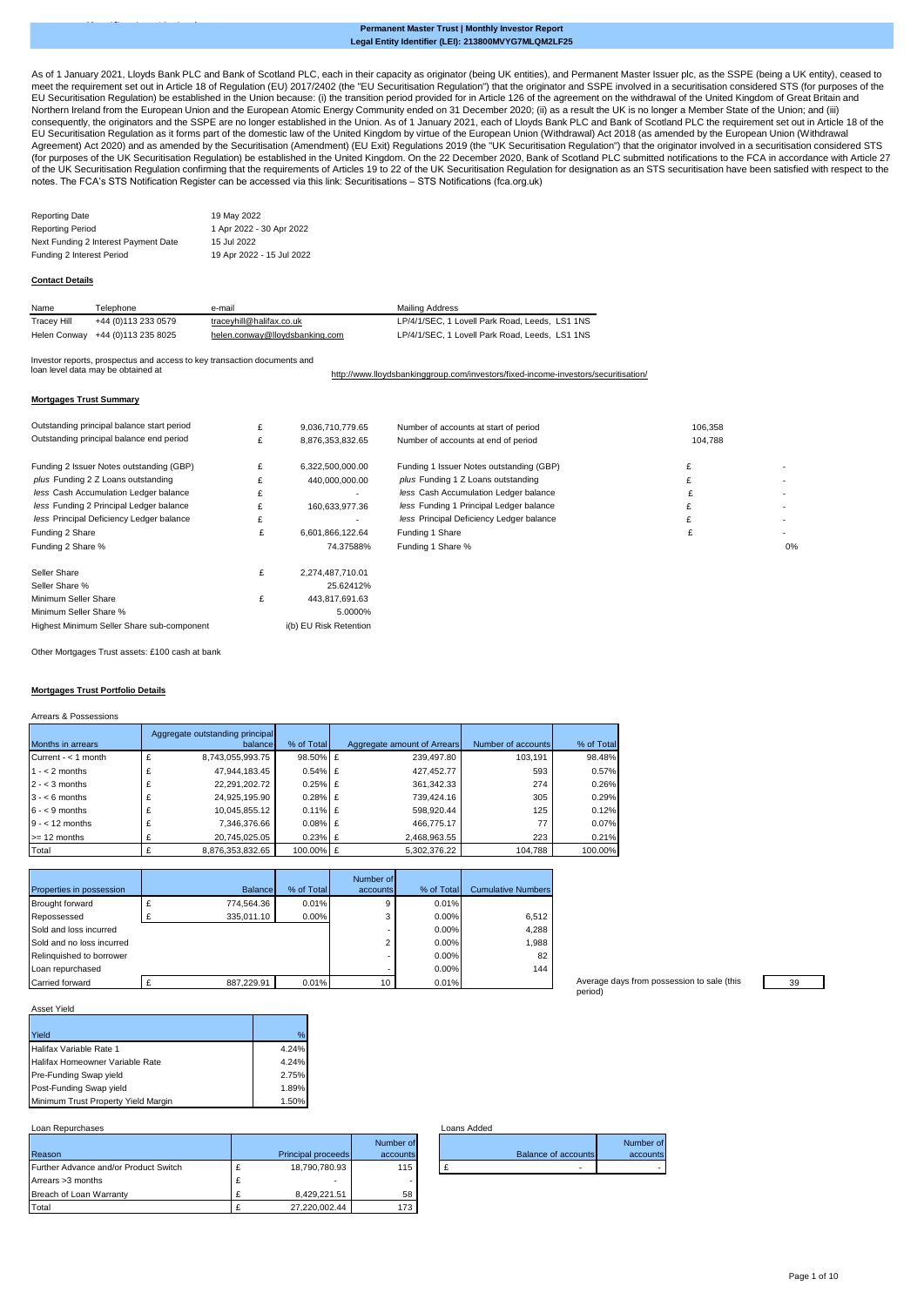## **Legal Entity Identifier (LEI): 213800MVYG7MLQM2LF25 Permanent Master Trust | Monthly Investor Report**

[As](https://eur02.safelinks.protection.outlook.com/?url=https%3A%2F%2Fdata.fca.org.uk%2F%23%2Fsts%2Fstssecuritisations&data=04%7C01%7CHelen.Conway%40lloydsbanking.com%7C1314d6c6f02d47f0273408d8b7b61ad1%7C3ded2960214a46ff8cf4611f125e2398%7C0%7C0%7C637461340043671326%7CUnknown%7CTWFpbGZsb3d8eyJWIjoiMC4wLjAwMDAiLCJQIjoiV2luMzIiLCJBTiI6Ik1haWwiLCJXVCI6Mn0%3D%7C1000&sdata=gHvJlpfiWG1L6kfc5EI6cmnbqzG%2B%2Bdi3PY%2Bq1EqiiHQ%3D&reserved=0) of 1 January 2021, Lloyds Bank PLC and Bank of Scotland PLC, each in their capacity as originator (being UK entities), and Permanent Master Issuer plc, as the SSPE (being a UK entity), ceased to [me](https://eur02.safelinks.protection.outlook.com/?url=https%3A%2F%2Fdata.fca.org.uk%2F%23%2Fsts%2Fstssecuritisations&data=04%7C01%7CHelen.Conway%40lloydsbanking.com%7C1314d6c6f02d47f0273408d8b7b61ad1%7C3ded2960214a46ff8cf4611f125e2398%7C0%7C0%7C637461340043671326%7CUnknown%7CTWFpbGZsb3d8eyJWIjoiMC4wLjAwMDAiLCJQIjoiV2luMzIiLCJBTiI6Ik1haWwiLCJXVCI6Mn0%3D%7C1000&sdata=gHvJlpfiWG1L6kfc5EI6cmnbqzG%2B%2Bdi3PY%2Bq1EqiiHQ%3D&reserved=0)et the requirement set out in Article 18 of Regulation (EU) 2017/2402 (the "EU Securitisation Regulation") that the originator and SSPE involved in a securitisation considered STS (for purposes of the [EU](https://eur02.safelinks.protection.outlook.com/?url=https%3A%2F%2Fdata.fca.org.uk%2F%23%2Fsts%2Fstssecuritisations&data=04%7C01%7CHelen.Conway%40lloydsbanking.com%7C1314d6c6f02d47f0273408d8b7b61ad1%7C3ded2960214a46ff8cf4611f125e2398%7C0%7C0%7C637461340043671326%7CUnknown%7CTWFpbGZsb3d8eyJWIjoiMC4wLjAwMDAiLCJQIjoiV2luMzIiLCJBTiI6Ik1haWwiLCJXVCI6Mn0%3D%7C1000&sdata=gHvJlpfiWG1L6kfc5EI6cmnbqzG%2B%2Bdi3PY%2Bq1EqiiHQ%3D&reserved=0) Securitisation Regulation) be established in the Union because: (i) the transition period provided for in Article 126 of the agreement on the withdrawal of the United Kingdom of Great Britain and [Nor](https://eur02.safelinks.protection.outlook.com/?url=https%3A%2F%2Fdata.fca.org.uk%2F%23%2Fsts%2Fstssecuritisations&data=04%7C01%7CHelen.Conway%40lloydsbanking.com%7C1314d6c6f02d47f0273408d8b7b61ad1%7C3ded2960214a46ff8cf4611f125e2398%7C0%7C0%7C637461340043671326%7CUnknown%7CTWFpbGZsb3d8eyJWIjoiMC4wLjAwMDAiLCJQIjoiV2luMzIiLCJBTiI6Ik1haWwiLCJXVCI6Mn0%3D%7C1000&sdata=gHvJlpfiWG1L6kfc5EI6cmnbqzG%2B%2Bdi3PY%2Bq1EqiiHQ%3D&reserved=0)thern Ireland from the European Union and the European Atomic Energy Community ended on 31 December 2020; (ii) as a result the UK is no longer a Member State of the Union; and (iii)<br>[con](https://eur02.safelinks.protection.outlook.com/?url=https%3A%2F%2Fdata.fca.org.uk%2F%23%2Fsts%2Fstssecuritisations&data=04%7C01%7CHelen.Conway%40lloydsbanking.com%7C1314d6c6f02d47f0273408d8b7b61ad1%7C3ded2960214a46ff8cf4611f125e2398%7C0%7C0%7C637461340043671326%7CUnknown%7CTWFpbGZsb3d8eyJWIjoiMC4wLjAwMDAiLCJQIjoiV2luMzIiLCJBTiI6Ik1haWwiLCJXVCI6Mn0%3D%7C1000&sdata=gHvJlpfiWG1L6kfc5EI6cmnbqzG%2B%2Bdi3PY%2Bq1EqiiHQ%3D&reserved=0)sequently, the originators and the [EU](https://eur02.safelinks.protection.outlook.com/?url=https%3A%2F%2Fdata.fca.org.uk%2F%23%2Fsts%2Fstssecuritisations&data=04%7C01%7CHelen.Conway%40lloydsbanking.com%7C1314d6c6f02d47f0273408d8b7b61ad1%7C3ded2960214a46ff8cf4611f125e2398%7C0%7C0%7C637461340043671326%7CUnknown%7CTWFpbGZsb3d8eyJWIjoiMC4wLjAwMDAiLCJQIjoiV2luMzIiLCJBTiI6Ik1haWwiLCJXVCI6Mn0%3D%7C1000&sdata=gHvJlpfiWG1L6kfc5EI6cmnbqzG%2B%2Bdi3PY%2Bq1EqiiHQ%3D&reserved=0) Securitisation Regulation as it forms part of the domestic law of the United Kingdom by virtue of the European Union (Withdrawal) Act 2018 (as amended by the European Union (Withdrawal<br>[Agr](https://eur02.safelinks.protection.outlook.com/?url=https%3A%2F%2Fdata.fca.org.uk%2F%23%2Fsts%2Fstssecuritisations&data=04%7C01%7CHelen.Conway%40lloydsbanking.com%7C1314d6c6f02d47f0273408d8b7b61ad1%7C3ded2960214a46ff8cf4611f125e2398%7C0%7C0%7C637461340043671326%7CUnknown%7CTWFpbGZsb3d8eyJWIjoiMC4wLjAwMDAiLCJQIjoiV2luMzIiLCJBTiI6Ik1haWwiLCJXVCI6Mn0%3D%7C1000&sdata=gHvJlpfiWG1L6kfc5EI6cmnbqzG%2B%2Bdi3PY%2Bq1EqiiHQ%3D&reserved=0)eement) Act 2020) and as amende of the UK Securitisation Regulation) be established in the United Kingdom. On the 22 December 2020, Bank of Scotland PLC submitted notifications to the FCA in accordance with Article 27 December 2020, Bank of Scotland PLC [of t](https://eur02.safelinks.protection.outlook.com/?url=https%3A%2F%2Fdata.fca.org.uk%2F%23%2Fsts%2Fstssecuritisations&data=04%7C01%7CHelen.Conway%40lloydsbanking.com%7C1314d6c6f02d47f0273408d8b7b61ad1%7C3ded2960214a46ff8cf4611f125e2398%7C0%7C0%7C637461340043671326%7CUnknown%7CTWFpbGZsb3d8eyJWIjoiMC4wLjAwMDAiLCJQIjoiV2luMzIiLCJBTiI6Ik1haWwiLCJXVCI6Mn0%3D%7C1000&sdata=gHvJlpfiWG1L6kfc5EI6cmnbqzG%2B%2Bdi3PY%2Bq1EqiiHQ%3D&reserved=0)he UK Securitisation Regulation confirming that the requirements of Articles 19 to 22 of the UK Securitisation Regulation for designation as an STS securitisation have been satisfied with respect to the [note](https://eur02.safelinks.protection.outlook.com/?url=https%3A%2F%2Fdata.fca.org.uk%2F%23%2Fsts%2Fstssecuritisations&data=04%7C01%7CHelen.Conway%40lloydsbanking.com%7C1314d6c6f02d47f0273408d8b7b61ad1%7C3ded2960214a46ff8cf4611f125e2398%7C0%7C0%7C637461340043671326%7CUnknown%7CTWFpbGZsb3d8eyJWIjoiMC4wLjAwMDAiLCJQIjoiV2luMzIiLCJBTiI6Ik1haWwiLCJXVCI6Mn0%3D%7C1000&sdata=gHvJlpfiWG1L6kfc5EI6cmnbqzG%2B%2Bdi3PY%2Bq1EqiiHQ%3D&reserved=0)s. The FCA's STS Notification Register can be accessed via this link: Securitisations – STS Notifications (fca.org.uk)

| Reporting Date                       | 19 May 2022               |
|--------------------------------------|---------------------------|
| Reporting Period                     | 1 Apr 2022 - 30 Apr 2022  |
| Next Funding 2 Interest Payment Date | 15 Jul 2022               |
| Funding 2 Interest Period            | 19 Apr 2022 - 15 Jul 2022 |

Classification: Limited#

#### **Contact Details**

| Name        | Telephone                        | e-mail                         | Mailing Address                                |
|-------------|----------------------------------|--------------------------------|------------------------------------------------|
| Tracey Hill | +44 (0)113 233 0579              | tracevhill@halifax.co.uk       | LP/4/1/SEC, 1 Lovell Park Road, Leeds, LS1 1NS |
|             | Helen Conway +44 (0)113 235 8025 | helen.conway@lloydsbanking.com | LP/4/1/SEC, 1 Lovell Park Road, Leeds, LS1 1NS |

Investor reports, prospectus and access to key transaction documents and

[http://](http://www.lloydsbankinggroup.com/investors/fixed-income-investors/securitisation/)www.lloydsbankinggroup.com/investors/fixed-income-investors/securitisation/ loan level data may be obtained at

## **Mortgages Trust Summary**

| Outstanding principal balance start period | £ | 9,036,710,779.65 | Number of accounts at start of period    | 106,358 |    |
|--------------------------------------------|---|------------------|------------------------------------------|---------|----|
| Outstanding principal balance end period   | £ | 8.876.353.832.65 | Number of accounts at end of period      | 104,788 |    |
| Funding 2 Issuer Notes outstanding (GBP)   | £ | 6,322,500,000.00 | Funding 1 Issuer Notes outstanding (GBP) |         |    |
| plus Funding 2 Z Loans outstanding         |   | 440,000,000.00   | plus Funding 1 Z Loans outstanding       |         |    |
| less Cash Accumulation Ledger balance      | £ | ۰.               | less Cash Accumulation Ledger balance    |         |    |
| less Funding 2 Principal Ledger balance    | £ | 160,633,977.36   | less Funding 1 Principal Ledger balance  |         |    |
| less Principal Deficiency Ledger balance   | £ |                  | less Principal Deficiency Ledger balance |         |    |
| Funding 2 Share                            | £ | 6.601.866.122.64 | Funding 1 Share                          |         |    |
| Funding 2 Share %                          |   | 74.37588%        | Funding 1 Share %                        |         | 0% |
| Seller Share                               | £ | 2.274.487.710.01 |                                          |         |    |
| Seller Share %                             |   | 25.62412%        |                                          |         |    |
| Minimum Seller Share                       | £ | 443,817,691.63   |                                          |         |    |
| Minimum Seller Share %                     |   | 5.0000%          |                                          |         |    |

Highest Minimum Seller Share sub-component Other Mortgages Trust assets: £100 cash at bank

#### **Mortgages Trust Portfolio Details**

Arrears & Possessions

|                          | Aggregate outstanding principal |            |                             |                    |            |
|--------------------------|---------------------------------|------------|-----------------------------|--------------------|------------|
| <b>Months in arrears</b> | balance                         | % of Total | Aggregate amount of Arrears | Number of accounts | % of Total |
| Current - $<$ 1 month    | 8,743,055,993.75                | 98.50% £   | 239.497.80                  | 103.191            | 98.48%     |
| $1 - 2$ months           | 47,944,183.45                   | $0.54\%$ £ | 427,452.77                  | 593                | 0.57%      |
| $2 - < 3$ months         | 22,291,202.72                   | $0.25\%$ £ | 361,342.33                  | 274                | 0.26%      |
| $3 - 6$ months           | 24,925,195.90                   | $0.28\%$ £ | 739.424.16                  | 305                | 0.29%      |
| $6 - 9$ months           | 10.045.855.12                   | $0.11\%$ £ | 598.920.44                  | 125                | 0.12%      |
| $9 - 12$ months          | 7.346.376.66                    | $0.08\%$ £ | 466.775.17                  | 77                 | 0.07%      |
| $>= 12$ months           | 20,745,025.05                   | $0.23%$ £  | 2,468,963.55                | 223                | 0.21%      |
| Total                    | 8,876,353,832.65                | 100.00% £  | 5.302.376.22                | 104,788            | 100.00%    |

i(b) EU Risk Retention

|                           |                |            | Number of |            |                           |
|---------------------------|----------------|------------|-----------|------------|---------------------------|
| Properties in possession  | <b>Balance</b> | % of Total | accounts  | % of Total | <b>Cumulative Numbers</b> |
| <b>Brought forward</b>    | 774.564.36     | 0.01%      | 9         | 0.01%      |                           |
| Repossessed               | 335.011.10     | 0.00%      | 3         | 0.00%      | 6.512                     |
| Sold and loss incurred    |                |            |           | 0.00%      | 4,288                     |
| Sold and no loss incurred |                |            | C         | 0.00%      | 1.988                     |
| Relinquished to borrower  |                |            |           | 0.00%      | 82                        |
| Loan repurchased          |                |            |           | 0.00%      | 144                       |
| Carried forward           | 887.229.91     | 0.01%      | 10        | 0.01%      |                           |

Average days from possession to sale (this 39 period)

# Asset Yield

| Yield                               | %     |
|-------------------------------------|-------|
| Halifax Variable Rate 1             | 4.24% |
| Halifax Homeowner Variable Rate     | 4.24% |
| Pre-Funding Swap yield              | 2.75% |
| Post-Funding Swap yield             | 1.89% |
| Minimum Trust Property Yield Margin | 1.50% |

## Loan Repurchases Loans Added

|                                       |   |                    | Number of |
|---------------------------------------|---|--------------------|-----------|
| Reason                                |   | Principal proceeds | accounts  |
| Further Advance and/or Product Switch |   | 18,790,780.93      | 115       |
| Arrears > 3 months                    | £ |                    |           |
| Breach of Loan Warranty               |   | 8.429.221.51       | 58        |
| Total                                 |   | 27.220.002.44      | 173       |

|                            | Number of |
|----------------------------|-----------|
| <b>Balance of accounts</b> | accounts  |
| ۰                          |           |
|                            |           |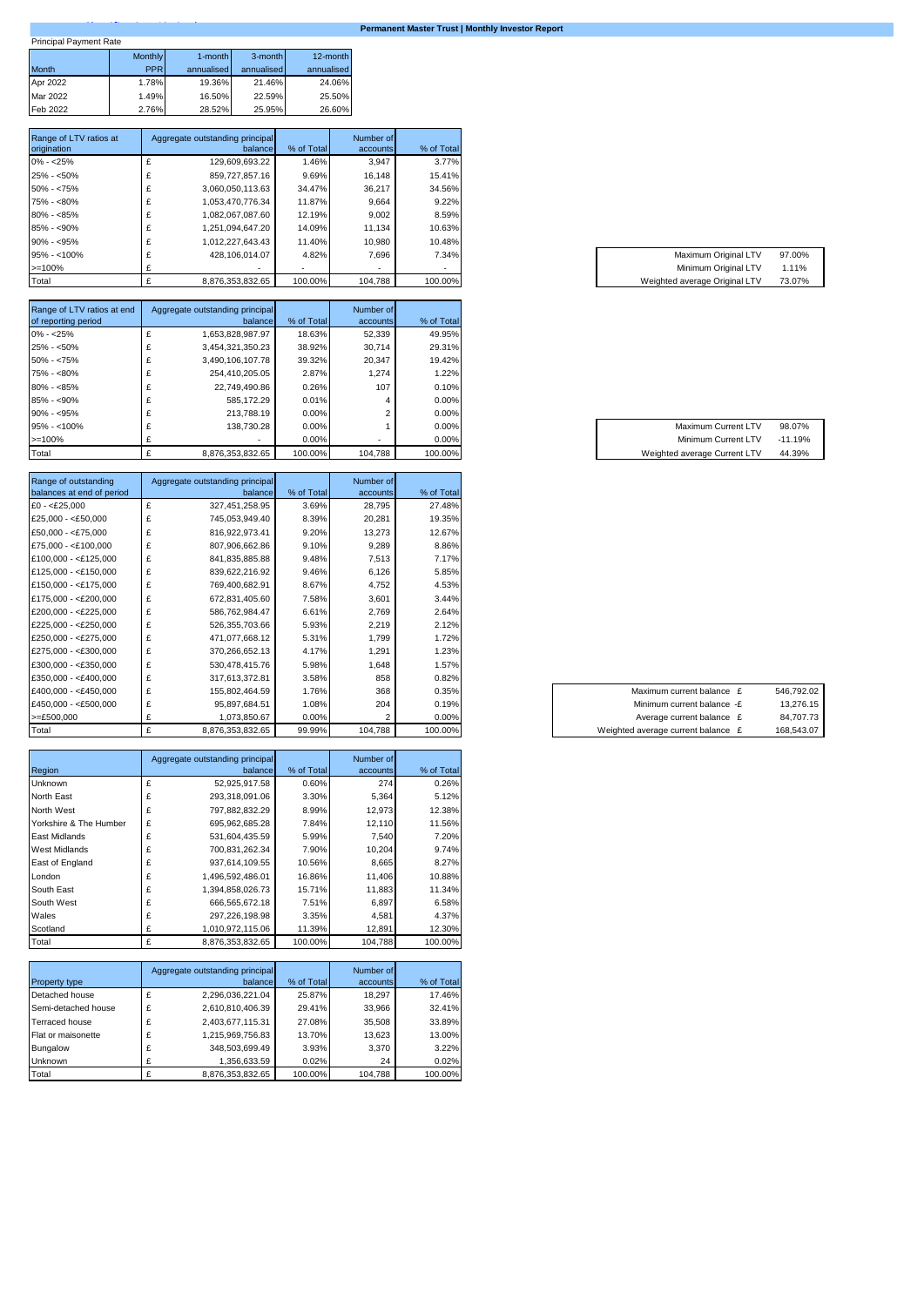| <b>Princinal Payment Rate</b> |  |
|-------------------------------|--|

# **Permanent Master Trust | Monthly Investor Report**

| <b>Principal Payment Rate</b> |                |            |            |            |
|-------------------------------|----------------|------------|------------|------------|
|                               | <b>Monthly</b> | 1-month    | 3-month    | 12-month   |
| <b>Month</b>                  | <b>PPR</b>     | annualised | annualised | annualised |
| Apr 2022                      | 1.78%          | 19.36%     | 21.46%     | 24.06%     |
| Mar 2022                      | 1.49%          | 16.50%     | 22.59%     | 25.50%     |
| Feb 2022                      | 2.76%          | 28.52%     | 25.95%     | 26.60%     |

| Range of LTV ratios at | Aggregate outstanding principal |            | Number of |            |
|------------------------|---------------------------------|------------|-----------|------------|
| origination            | balance                         | % of Total | accounts  | % of Total |
| $0\% - 25\%$           | 129,609,693.22                  | 1.46%      | 3.947     | 3.77%      |
| $25\% - 50\%$          | 859,727,857.16                  | 9.69%      | 16.148    | 15.41%     |
| $50\% - 75\%$          | 3.060.050.113.63                | 34.47%     | 36.217    | 34.56%     |
| 75% - <80%             | 1.053.470.776.34                | 11.87%     | 9.664     | 9.22%      |
| $80\% - 85\%$          | 1.082.067.087.60                | 12.19%     | 9.002     | 8.59%      |
| $85\% - 90\%$          | 1.251.094.647.20                | 14.09%     | 11.134    | 10.63%     |
| $90\% - 95\%$          | 1,012,227,643.43                | 11.40%     | 10.980    | 10.48%     |
| $95\% - 100\%$         | 428.106.014.07                  | 4.82%      | 7.696     | 7.34%      |
| $>=100%$               |                                 |            |           | ۰          |
| Total                  | 8.876.353.832.65                | 100.00%    | 104.788   | 100.00%    |

| Range of LTV ratios at end |    | Aggregate outstanding principal |            | Number of |            |
|----------------------------|----|---------------------------------|------------|-----------|------------|
| of reporting period        |    | balance                         | % of Total | accounts  | % of Total |
| $0\% - 25\%$               | ż. | 1,653,828,987.97                | 18.63%     | 52.339    | 49.95%     |
| $25\% - 50\%$              |    | 3,454,321,350.23                | 38.92%     | 30.714    | 29.31%     |
| $50\% - 75\%$              | £  | 3.490.106.107.78                | 39.32%     | 20.347    | 19.42%     |
| 75% - <80%                 | ı  | 254.410.205.05                  | 2.87%      | 1.274     | 1.22%      |
| $80\% - 85\%$              |    | 22.749.490.86                   | 0.26%      | 107       | 0.10%      |
| $85\% - 90\%$              |    | 585.172.29                      | 0.01%      |           | $0.00\%$   |
| $90\% - 95\%$              |    | 213.788.19                      | $0.00\%$   |           | 0.00%      |
| $95\% - 100\%$             |    | 138.730.28                      | $0.00\%$   |           | 0.00%      |
| $>=100%$                   |    |                                 | $0.00\%$   |           | 0.00%      |
| Total                      |    | 8.876.353.832.65                | 100.00%    | 104.788   | 100.00%    |

| Range of outstanding<br>balances at end of period |   | Aggregate outstanding principal<br>balance | % of Total | Number of<br>accounts | % of Total |
|---------------------------------------------------|---|--------------------------------------------|------------|-----------------------|------------|
| $£0 - < £25,000$                                  | £ | 327,451,258.95                             | 3.69%      | 28,795                | 27.48%     |
| £25,000 - < $£50,000$                             | £ | 745,053,949.40                             | 8.39%      | 20,281                | 19.35%     |
| $£50.000 - < £75.000$                             | £ | 816,922,973.41                             | 9.20%      | 13,273                | 12.67%     |
| $£75,000 - < £100,000$                            | £ | 807,906,662.86                             | 9.10%      | 9,289                 | 8.86%      |
| £100,000 - <£125,000                              | £ | 841,835,885.88                             | 9.48%      | 7,513                 | 7.17%      |
| £125,000 - <£150,000                              | £ | 839,622,216.92                             | 9.46%      | 6,126                 | 5.85%      |
| £150,000 - <£175,000                              | £ | 769,400,682.91                             | 8.67%      | 4,752                 | 4.53%      |
| £175,000 - <£200,000                              | £ | 672,831,405.60                             | 7.58%      | 3,601                 | 3.44%      |
| £200,000 - <£225,000                              | £ | 586,762,984.47                             | 6.61%      | 2,769                 | 2.64%      |
| £225,000 - <£250,000                              | £ | 526,355,703.66                             | 5.93%      | 2,219                 | 2.12%      |
| £250,000 - <£275,000                              | £ | 471,077,668.12                             | 5.31%      | 1,799                 | 1.72%      |
| £275,000 - <£300,000                              | £ | 370,266,652.13                             | 4.17%      | 1,291                 | 1.23%      |
| $£300,000 - < £350,000$                           | £ | 530,478,415.76                             | 5.98%      | 1,648                 | 1.57%      |
| $£350,000 - < £400,000$                           | £ | 317,613,372.81                             | 3.58%      | 858                   | 0.82%      |
| £400,000 - <£450,000                              | £ | 155,802,464.59                             | 1.76%      | 368                   | 0.35%      |
| £450,000 - <£500,000                              | £ | 95,897,684.51                              | 1.08%      | 204                   | 0.19%      |
| $>=E500,000$                                      | £ | 1,073,850.67                               | 0.00%      | 2                     | 0.00%      |
| Total                                             | £ | 8,876,353,832.65                           | 99.99%     | 104,788               | 100.00%    |

|                        |   | Aggregate outstanding principal |            | Number of |            |
|------------------------|---|---------------------------------|------------|-----------|------------|
| Region                 |   | balance                         | % of Total | accounts  | % of Total |
| Unknown                | £ | 52,925,917.58                   | 0.60%      | 274       | 0.26%      |
| North East             | £ | 293,318,091.06                  | 3.30%      | 5,364     | 5.12%      |
| North West             | £ | 797.882.832.29                  | 8.99%      | 12,973    | 12.38%     |
| Yorkshire & The Humber | £ | 695.962.685.28                  | 7.84%      | 12,110    | 11.56%     |
| East Midlands          | £ | 531.604.435.59                  | 5.99%      | 7.540     | 7.20%      |
| <b>West Midlands</b>   | £ | 700,831,262.34                  | 7.90%      | 10.204    | 9.74%      |
| East of England        | £ | 937.614.109.55                  | 10.56%     | 8.665     | 8.27%      |
| London                 | £ | 1,496,592,486.01                | 16.86%     | 11.406    | 10.88%     |
| South East             | £ | 1,394,858,026.73                | 15.71%     | 11.883    | 11.34%     |
| South West             | £ | 666,565,672.18                  | 7.51%      | 6,897     | 6.58%      |
| Wales                  | £ | 297.226.198.98                  | 3.35%      | 4.581     | 4.37%      |
| Scotland               | £ | 1,010,972,115.06                | 11.39%     | 12,891    | 12.30%     |
| Total                  | £ | 8,876,353,832.65                | 100.00%    | 104,788   | 100.00%    |

| Property type       |   | Aggregate outstanding principal<br>balance | % of Total | Number of<br>accounts | % of Total |
|---------------------|---|--------------------------------------------|------------|-----------------------|------------|
| Detached house      | £ | 2,296,036,221.04                           | 25.87%     | 18.297                | 17.46%     |
| Semi-detached house | £ | 2,610,810,406.39                           | 29.41%     | 33.966                | 32.41%     |
| Terraced house      | £ | 2,403,677,115.31                           | 27.08%     | 35.508                | 33.89%     |
| Flat or maisonette  | £ | 1,215,969,756.83                           | 13.70%     | 13,623                | 13.00%     |
| Bungalow            | £ | 348,503,699.49                             | 3.93%      | 3.370                 | 3.22%      |
| <b>Unknown</b>      |   | 1,356,633.59                               | 0.02%      | 24                    | 0.02%      |
| Total               |   | 8,876,353,832.65                           | 100.00%    | 104.788               | 100.00%    |

| Maximum Original LTV          | 97.00% |
|-------------------------------|--------|
| Minimum Original LTV          | 1.11%  |
| Weighted average Original LTV | 73.07% |

| Maximum Current LTV          | 98.07%    |
|------------------------------|-----------|
| Minimum Current LTV          | $-11.19%$ |
| Weighted average Current LTV | 44.39%    |

| Maximum current balance £          | 546,792.02 |
|------------------------------------|------------|
| Minimum current balance -£         | 13,276.15  |
| Average current balance £          | 84,707.73  |
| Weighted average current balance £ | 168,543.07 |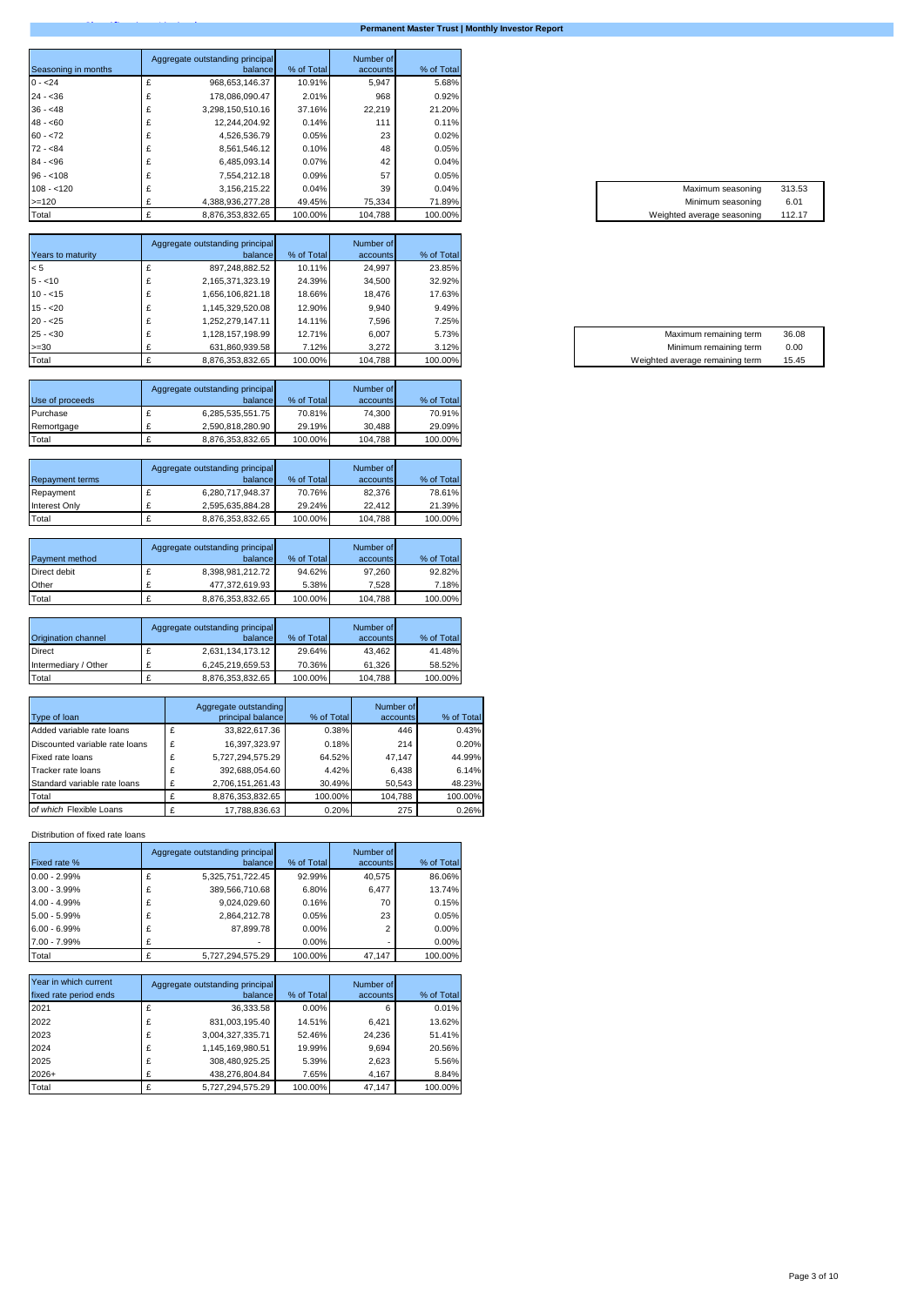|                     | Aggregate outstanding principal |            | Number of |            |
|---------------------|---------------------------------|------------|-----------|------------|
| Seasoning in months | balance                         | % of Total | accounts  | % of Total |
| $0 - 24$            | 968,653,146.37                  | 10.91%     | 5,947     | 5.68%      |
| $24 - 36$           | 178.086.090.47                  | 2.01%      | 968       | 0.92%      |
| $36 - 48$           | 3,298,150,510.16                | 37.16%     | 22.219    | 21.20%     |
| $48 - 60$           | 12.244.204.92                   | 0.14%      | 111       | 0.11%      |
| $60 - 72$           | 4,526,536.79                    | 0.05%      | 23        | 0.02%      |
| $72 - 84$           | 8,561,546.12                    | 0.10%      | 48        | 0.05%      |
| $84 - 96$           | 6,485,093.14                    | 0.07%      | 42        | 0.04%      |
| $96 - 108$          | 7,554,212.18                    | 0.09%      | 57        | 0.05%      |
| $108 - 120$         | 3,156,215.22                    | 0.04%      | 39        | 0.04%      |
| $>=120$             | 4.388.936.277.28                | 49.45%     | 75,334    | 71.89%     |
| Total               | 8.876.353.832.65                | 100.00%    | 104.788   | 100.00%    |

|                   | Aggregate outstanding principal |            | Number of |            |
|-------------------|---------------------------------|------------|-----------|------------|
| Years to maturity | balance                         | % of Total | accounts  | % of Total |
| < 5               | 897,248,882.52                  | 10.11%     | 24.997    | 23.85%     |
| $5 - 10$          | 2,165,371,323.19                | 24.39%     | 34.500    | 32.92%     |
| $10 - 15$         | 1,656,106,821.18                | 18.66%     | 18.476    | 17.63%     |
| $15 - 20$         | 1,145,329,520.08                | 12.90%     | 9.940     | 9.49%      |
| $20 - 25$         | ,252,279,147.11                 | 14.11%     | 7.596     | 7.25%      |
| $25 - 30$         | 1,128,157,198.99                | 12.71%     | 6.007     | 5.73%      |
| $>=30$            | 631,860,939.58                  | 7.12%      | 3,272     | 3.12%      |
| Total             | 8,876,353,832.65                | 100.00%    | 104,788   | 100.00%    |

| Use of proceeds | Aggregate outstanding principal<br>balance | % of Total | Number of<br>accounts | % of Total |
|-----------------|--------------------------------------------|------------|-----------------------|------------|
| Purchase        | 6,285,535,551.75                           | 70.81%     | 74.300                | 70.91%     |
| Remortgage      | 2.590.818.280.90                           | 29.19%     | 30.488                | 29.09%     |
| Total           | 8.876.353.832.65                           | 100.00%    | 104,788               | 100.00%    |

| <b>Repayment terms</b> | Aggregate outstanding principal<br>balance | % of Total | Number of<br>accounts | % of Total |
|------------------------|--------------------------------------------|------------|-----------------------|------------|
| Repayment              | 6.280.717.948.37                           | 70.76%     | 82.376                | 78.61%     |
| Interest Only          | 2,595,635,884.28                           | 29.24%     | 22.412                | 21.39%     |
| Total                  | 8,876,353,832.65                           | 100.00%    | 104,788               | 100.00%    |

|                | Aggregate outstanding principal |            | Number of |            |
|----------------|---------------------------------|------------|-----------|------------|
| Payment method | balance                         | % of Total | accounts  | % of Total |
| Direct debit   | 8,398,981,212.72                | 94.62%     | 97.260    | 92.82%     |
| Other          | 477.372.619.93                  | 5.38%      | 7.528     | 7.18%      |
| Total          | 8,876,353,832.65                | 100.00%    | 104,788   | 100.00%    |

| Origination channel  | Aggregate outstanding principal<br>balance | % of Total | Number of<br>accounts | % of Total |
|----------------------|--------------------------------------------|------------|-----------------------|------------|
| <b>Direct</b>        | 2,631,134,173.12                           | 29.64%     | 43.462                | 41.48%     |
| Intermediary / Other | 6,245,219,659.53                           | 70.36%     | 61.326                | 58.52%     |
| Total                | 8,876,353,832.65                           | 100.00%    | 104,788               | 100.00%    |

| Type of loan                   |   | Aggregate outstanding<br>principal balance | % of Total | Number of<br>accounts | % of Total |
|--------------------------------|---|--------------------------------------------|------------|-----------------------|------------|
|                                |   |                                            |            |                       |            |
| Added variable rate loans      | £ | 33,822,617.36                              | 0.38%      | 446                   | 0.43%      |
| Discounted variable rate loans | £ | 16,397,323.97                              | 0.18%      | 214                   | 0.20%      |
| Fixed rate loans               | £ | 5.727.294.575.29                           | 64.52%     | 47.147                | 44.99%     |
| Tracker rate loans             | £ | 392.688.054.60                             | 4.42%      | 6.438                 | 6.14%      |
| Standard variable rate loans   |   | 2,706,151,261.43                           | 30.49%     | 50,543                | 48.23%     |
| Total                          |   | 8,876,353,832.65                           | 100.00%    | 104.788               | 100.00%    |
| of which Flexible Loans        |   | 17.788.836.63                              | 0.20%      | 275                   | 0.26%      |

Distribution of fixed rate loans

| Fixed rate %    |   | Aggregate outstanding principal<br>balance | % of Total | Number of<br>accounts | % of Total |
|-----------------|---|--------------------------------------------|------------|-----------------------|------------|
|                 |   |                                            |            |                       |            |
| $0.00 - 2.99%$  | £ | 5,325,751,722.45                           | 92.99%     | 40.575                | 86.06%     |
| $3.00 - 3.99\%$ | £ | 389,566,710.68                             | 6.80%      | 6,477                 | 13.74%     |
| 4.00 - 4.99%    | £ | 9.024.029.60                               | 0.16%      | 70                    | 0.15%      |
| 5.00 - 5.99%    | £ | 2.864.212.78                               | 0.05%      | 23                    | 0.05%      |
| $6.00 - 6.99%$  | £ | 87.899.78                                  | 0.00%      | $\overline{2}$        | 0.00%      |
| 7.00 - 7.99%    |   |                                            | 0.00%      | ۰                     | 0.00%      |
| Total           |   | 5.727.294.575.29                           | 100.00%    | 47.147                | 100.00%    |

| Year in which current  |   | Aggregate outstanding principal |            | Number of |            |
|------------------------|---|---------------------------------|------------|-----------|------------|
| fixed rate period ends |   | balance                         | % of Total | accounts  | % of Total |
| 2021                   | £ | 36.333.58                       | 0.00%      | 6         | 0.01%      |
| 2022                   | £ | 831.003.195.40                  | 14.51%     | 6.421     | 13.62%     |
| 2023                   | £ | 3,004,327,335.71                | 52.46%     | 24.236    | 51.41%     |
| 2024                   | £ | 1,145,169,980.51                | 19.99%     | 9.694     | 20.56%     |
| 2025                   | £ | 308,480,925.25                  | 5.39%      | 2,623     | 5.56%      |
| $2026+$                |   | 438,276,804.84                  | 7.65%      | 4,167     | 8.84%      |
| Total                  |   | 5.727.294.575.29                | 100.00%    | 47.147    | 100.00%    |

| 0.04%   | Maximum seasoning          | 313.53 |
|---------|----------------------------|--------|
|         |                            |        |
| 71.89%1 | Minimum seasoning          | 6.01   |
| 100.00% | Weighted average seasoning | 112.17 |

| Maximum remaining term          | 36.08 |
|---------------------------------|-------|
| Minimum remaining term          | 0.00  |
| Weighted average remaining term | 15.45 |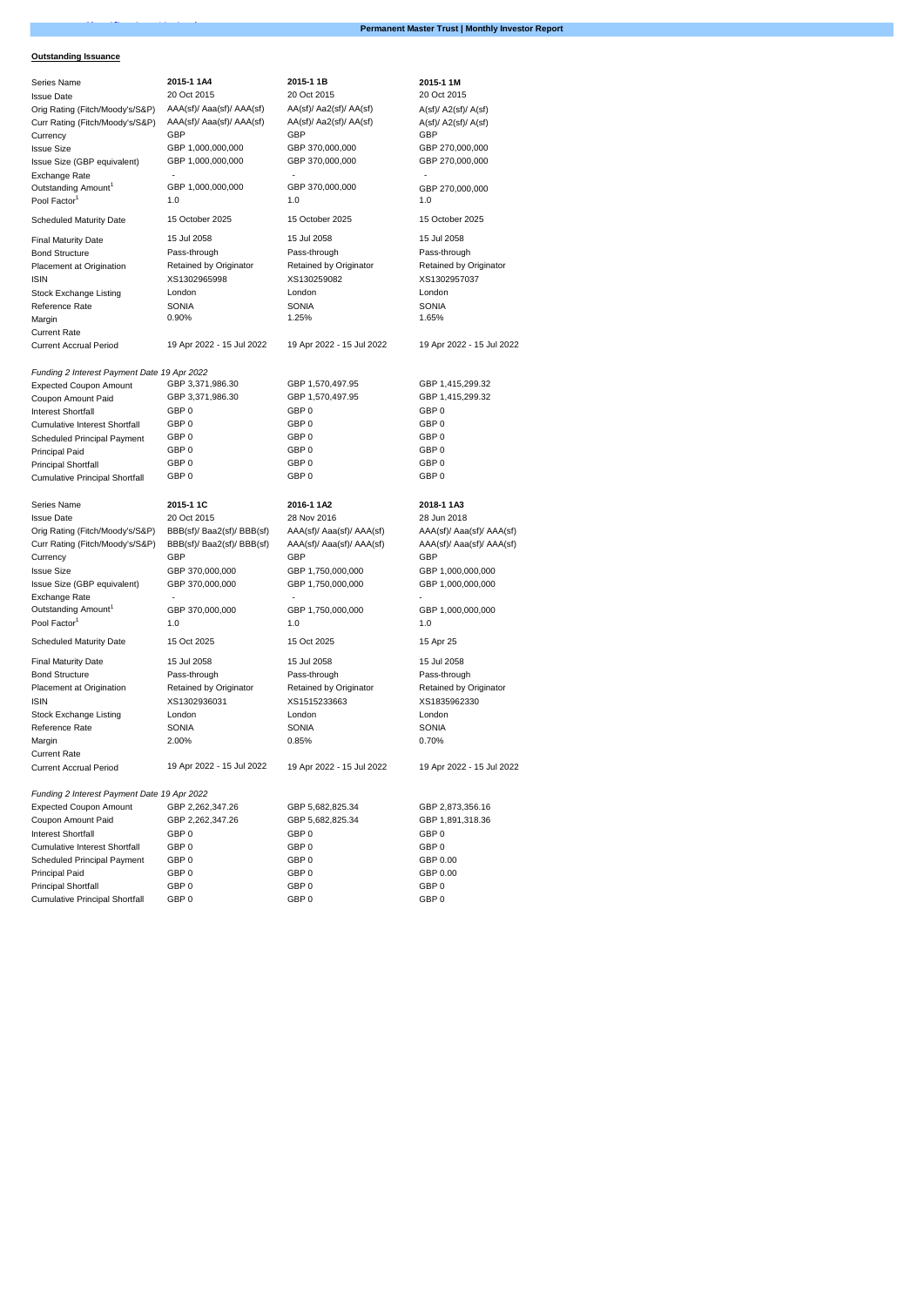# **Outstanding Issuance**

| Series Name                                                  | 2015-1 1A4                 | 2015-1 1B                 | 2015-1 1M                 |
|--------------------------------------------------------------|----------------------------|---------------------------|---------------------------|
| <b>Issue Date</b>                                            | 20 Oct 2015                | 20 Oct 2015               | 20 Oct 2015               |
| Orig Rating (Fitch/Moody's/S&P)                              | AAA(sf)/ Aaa(sf)/ AAA(sf)  | AA(sf)/ Aa2(sf)/ AA(sf)   | A(st)/A2(st)/A(st)        |
| Curr Rating (Fitch/Moody's/S&P)                              | AAA(sf)/ Aaa(sf)/ AAA(sf)  | AA(sf)/ Aa2(sf)/ AA(sf)   | A(st)/A2(st)/A(st)        |
| Currency                                                     | GBP                        | GBP                       | GBP                       |
| <b>Issue Size</b>                                            | GBP 1,000,000,000          | GBP 370,000,000           | GBP 270,000,000           |
| Issue Size (GBP equivalent)                                  | GBP 1,000,000,000          | GBP 370,000,000           | GBP 270,000,000           |
| Exchange Rate                                                |                            |                           |                           |
| Outstanding Amount <sup>1</sup>                              | GBP 1,000,000,000          | GBP 370,000,000           | GBP 270,000,000           |
| Pool Factor <sup>1</sup>                                     | 1.0                        | 1.0                       | 1.0                       |
|                                                              |                            |                           |                           |
| <b>Scheduled Maturity Date</b>                               | 15 October 2025            | 15 October 2025           | 15 October 2025           |
| <b>Final Maturity Date</b>                                   | 15 Jul 2058                | 15 Jul 2058               | 15 Jul 2058               |
| <b>Bond Structure</b>                                        | Pass-through               | Pass-through              | Pass-through              |
| Placement at Origination                                     | Retained by Originator     | Retained by Originator    | Retained by Originator    |
| <b>ISIN</b>                                                  | XS1302965998               | XS130259082               | XS1302957037              |
| Stock Exchange Listing                                       | London                     | London                    | London                    |
| Reference Rate                                               | <b>SONIA</b>               | <b>SONIA</b>              | <b>SONIA</b>              |
| Margin                                                       | 0.90%                      | 1.25%                     | 1.65%                     |
| <b>Current Rate</b>                                          |                            |                           |                           |
| <b>Current Accrual Period</b>                                | 19 Apr 2022 - 15 Jul 2022  | 19 Apr 2022 - 15 Jul 2022 | 19 Apr 2022 - 15 Jul 2022 |
|                                                              |                            |                           |                           |
|                                                              |                            |                           |                           |
| Funding 2 Interest Payment Date 19 Apr 2022                  |                            |                           |                           |
| <b>Expected Coupon Amount</b>                                | GBP 3,371,986.30           | GBP 1,570,497.95          | GBP 1,415,299.32          |
| Coupon Amount Paid                                           | GBP 3,371,986.30           | GBP 1,570,497.95          | GBP 1,415,299.32          |
| <b>Interest Shortfall</b>                                    | GBP 0                      | GBP 0                     | GBP 0                     |
| <b>Cumulative Interest Shortfall</b>                         | GBP 0                      | GBP 0                     | GBP 0                     |
| Scheduled Principal Payment                                  | GBP 0                      | GBP 0                     | GBP 0                     |
| Principal Paid                                               | GBP 0                      | GBP 0                     | GBP <sub>0</sub>          |
| <b>Principal Shortfall</b>                                   | GBP 0                      | GBP 0                     | GBP <sub>0</sub>          |
| <b>Cumulative Principal Shortfall</b>                        | GBP <sub>0</sub>           | GBP <sub>0</sub>          | GBP <sub>0</sub>          |
|                                                              |                            |                           |                           |
| Series Name                                                  | 2015-1 1C                  | 2016-1 1A2                | 2018-1 1A3                |
|                                                              |                            |                           |                           |
| <b>Issue Date</b>                                            | 20 Oct 2015                | 28 Nov 2016               | 28 Jun 2018               |
|                                                              |                            |                           |                           |
| Orig Rating (Fitch/Moody's/S&P)                              | BBB(sf)/ Baa2(sf)/ BBB(sf) | AAA(sf)/ Aaa(sf)/ AAA(sf) | AAA(sf)/ Aaa(sf)/ AAA(sf) |
| Curr Rating (Fitch/Moody's/S&P)                              | BBB(sf)/ Baa2(sf)/ BBB(sf) | AAA(sf)/ Aaa(sf)/ AAA(sf) | AAA(sf)/ Aaa(sf)/ AAA(sf) |
| Currency                                                     | GBP                        | GBP                       | GBP                       |
| <b>Issue Size</b>                                            | GBP 370,000,000            | GBP 1,750,000,000         | GBP 1,000,000,000         |
| Issue Size (GBP equivalent)                                  | GBP 370,000,000            | GBP 1,750,000,000         | GBP 1,000,000,000         |
| Exchange Rate                                                |                            |                           |                           |
| Outstanding Amount <sup>1</sup>                              | GBP 370,000,000            | GBP 1,750,000,000         | GBP 1,000,000,000         |
| Pool Factor <sup>1</sup>                                     | 1.0                        | 1.0                       | 1.0                       |
| <b>Scheduled Maturity Date</b>                               | 15 Oct 2025                | 15 Oct 2025               | 15 Apr 25                 |
| <b>Final Maturity Date</b>                                   | 15 Jul 2058                | 15 Jul 2058               | 15 Jul 2058               |
| <b>Bond Structure</b>                                        | Pass-through               | Pass-through              | Pass-through              |
| Placement at Origination                                     | Retained by Originator     | Retained by Originator    | Retained by Originator    |
| <b>ISIN</b>                                                  | XS1302936031               | XS1515233663              | XS1835962330              |
|                                                              |                            |                           |                           |
| Stock Exchange Listing                                       | London                     | London                    | London                    |
| Reference Rate                                               | <b>SONIA</b>               | <b>SONIA</b>              | <b>SONIA</b>              |
| Margin                                                       | 2.00%                      | 0.85%                     | 0.70%                     |
| <b>Current Rate</b>                                          |                            |                           |                           |
| <b>Current Accrual Period</b>                                | 19 Apr 2022 - 15 Jul 2022  | 19 Apr 2022 - 15 Jul 2022 | 19 Apr 2022 - 15 Jul 2022 |
|                                                              |                            |                           |                           |
| Funding 2 Interest Payment Date 19 Apr 2022                  |                            |                           |                           |
| <b>Expected Coupon Amount</b>                                | GBP 2,262,347.26           | GBP 5,682,825.34          | GBP 2,873,356.16          |
| Coupon Amount Paid                                           | GBP 2,262,347.26           | GBP 5,682,825.34          | GBP 1,891,318.36          |
| Interest Shortfall                                           | GBP 0                      | GBP 0                     | GBP <sub>0</sub>          |
| <b>Cumulative Interest Shortfall</b>                         | GBP 0                      | GBP 0                     | GBP 0                     |
| Scheduled Principal Payment                                  | GBP 0                      | GBP0                      | GBP 0.00                  |
| Principal Paid                                               | GBP 0                      | GBP 0                     | GBP 0.00                  |
| Principal Shortfall<br><b>Cumulative Principal Shortfall</b> | GBP <sub>0</sub><br>GBP 0  | GBP 0<br>GBP 0            | GBP 0<br>GBP 0            |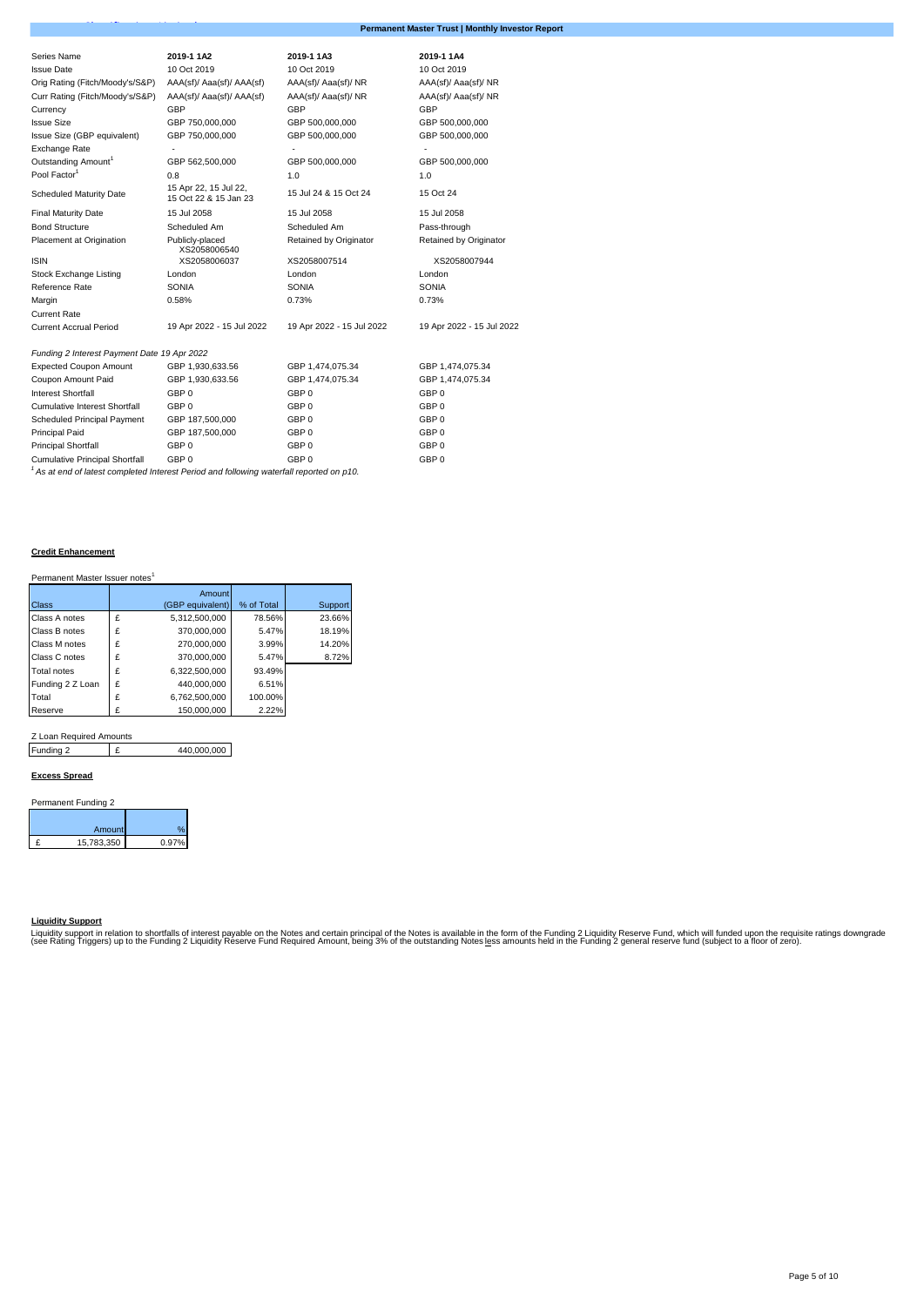| Series Name                                 | 2019-1 1A2                                     | 2019-1 1A3                | 2019-1 1A4                |  |  |
|---------------------------------------------|------------------------------------------------|---------------------------|---------------------------|--|--|
| <b>Issue Date</b>                           | 10 Oct 2019                                    | 10 Oct 2019               | 10 Oct 2019               |  |  |
| Orig Rating (Fitch/Moody's/S&P)             | AAA(sf)/ Aaa(sf)/ AAA(sf)                      | AAA(sf)/ Aaa(sf)/ NR      | AAA(sf)/ Aaa(sf)/ NR      |  |  |
| Curr Rating (Fitch/Moody's/S&P)             | AAA(sf)/ Aaa(sf)/ AAA(sf)                      | AAA(sf)/ Aaa(sf)/ NR      | AAA(sf)/ Aaa(sf)/ NR      |  |  |
| Currency                                    | GBP                                            | GBP                       | GBP                       |  |  |
| <b>Issue Size</b>                           | GBP 750,000,000                                | GBP 500,000,000           | GBP 500,000,000           |  |  |
| Issue Size (GBP equivalent)                 | GBP 750,000,000                                | GBP 500,000,000           | GBP 500,000,000           |  |  |
| Exchange Rate                               |                                                |                           |                           |  |  |
| Outstanding Amount <sup>1</sup>             | GBP 562,500,000                                | GBP 500,000,000           | GBP 500,000,000           |  |  |
| Pool Factor <sup>1</sup>                    | 0.8                                            | 1.0                       | 1.0                       |  |  |
| <b>Scheduled Maturity Date</b>              | 15 Apr 22, 15 Jul 22,<br>15 Oct 22 & 15 Jan 23 | 15 Jul 24 & 15 Oct 24     | 15 Oct 24                 |  |  |
| <b>Final Maturity Date</b>                  | 15 Jul 2058                                    | 15 Jul 2058               | 15 Jul 2058               |  |  |
| <b>Bond Structure</b>                       | Scheduled Am                                   | Scheduled Am              | Pass-through              |  |  |
| Placement at Origination                    | Publicly-placed<br>XS2058006540                | Retained by Originator    | Retained by Originator    |  |  |
| <b>ISIN</b>                                 | XS2058006037                                   | XS2058007514              | XS2058007944              |  |  |
| Stock Exchange Listing                      | London                                         | London                    | London                    |  |  |
| Reference Rate                              | SONIA                                          | SONIA                     | SONIA                     |  |  |
| Margin                                      | 0.58%                                          | 0.73%                     | 0.73%                     |  |  |
| <b>Current Rate</b>                         |                                                |                           |                           |  |  |
| <b>Current Accrual Period</b>               | 19 Apr 2022 - 15 Jul 2022                      | 19 Apr 2022 - 15 Jul 2022 | 19 Apr 2022 - 15 Jul 2022 |  |  |
| Funding 2 Interest Payment Date 19 Apr 2022 |                                                |                           |                           |  |  |
| <b>Expected Coupon Amount</b>               | GBP 1,930,633.56                               | GBP 1,474,075.34          | GBP 1,474,075.34          |  |  |
| Coupon Amount Paid                          | GBP 1,930,633.56                               | GBP 1,474,075.34          | GBP 1,474,075.34          |  |  |
| <b>Interest Shortfall</b>                   | GBP 0                                          | GBP 0                     | GBP <sub>0</sub>          |  |  |
| Cumulative Interest Shortfall               | GBP 0                                          | GBP 0                     | GBP 0                     |  |  |
| Scheduled Principal Payment                 | GBP 187,500,000                                | GBP 0                     | GBP 0                     |  |  |
| <b>Principal Paid</b>                       | GBP 187,500,000                                | GBP 0                     | GBP 0                     |  |  |
| <b>Principal Shortfall</b>                  | GBP 0                                          | GBP 0                     | GBP 0                     |  |  |
| <b>Cumulative Principal Shortfall</b>       | GBP 0                                          | GBP 0                     | GBP 0                     |  |  |

*<sup>1</sup> As at end of latest completed Interest Period and following waterfall reported on p10.*

# **Credit Enhancement**

| Permanent Master Issuer notes <sup>1</sup> |  |  |
|--------------------------------------------|--|--|
|--------------------------------------------|--|--|

|                    |   | Amount           |            |         |
|--------------------|---|------------------|------------|---------|
| Class              |   | (GBP equivalent) | % of Total | Support |
| Class A notes      | £ | 5,312,500,000    | 78.56%     | 23.66%  |
| Class B notes      | £ | 370,000,000      | 5.47%      | 18.19%  |
| Class M notes      | £ | 270,000,000      | 3.99%      | 14.20%  |
| Class C notes      | £ | 370,000,000      | 5.47%      | 8.72%   |
| <b>Total notes</b> | £ | 6,322,500,000    | 93.49%     |         |
| Funding 2 Z Loan   | £ | 440,000,000      | 6.51%      |         |
| Total              | £ | 6.762.500.000    | 100.00%    |         |
| Reserve            | £ | 150.000.000      | 2.22%      |         |

# Z Loan Required Amounts

Funding 2 E £ 440,000,000

## **Excess Spread**

| Permanent Funding 2 |            |       |  |  |  |  |
|---------------------|------------|-------|--|--|--|--|
|                     | Amount     |       |  |  |  |  |
|                     | 15,783,350 | 0.97% |  |  |  |  |

# **Liquidity Support**

Liquidity support in relation to shortfalls of interest payable on the Notes and certain principal of the Notes is available in the form of the Funding 2 Liquidity Reserve Fund, which will funded upon the requisite ratings

**Permanent Master Trust | Monthly Investor Report**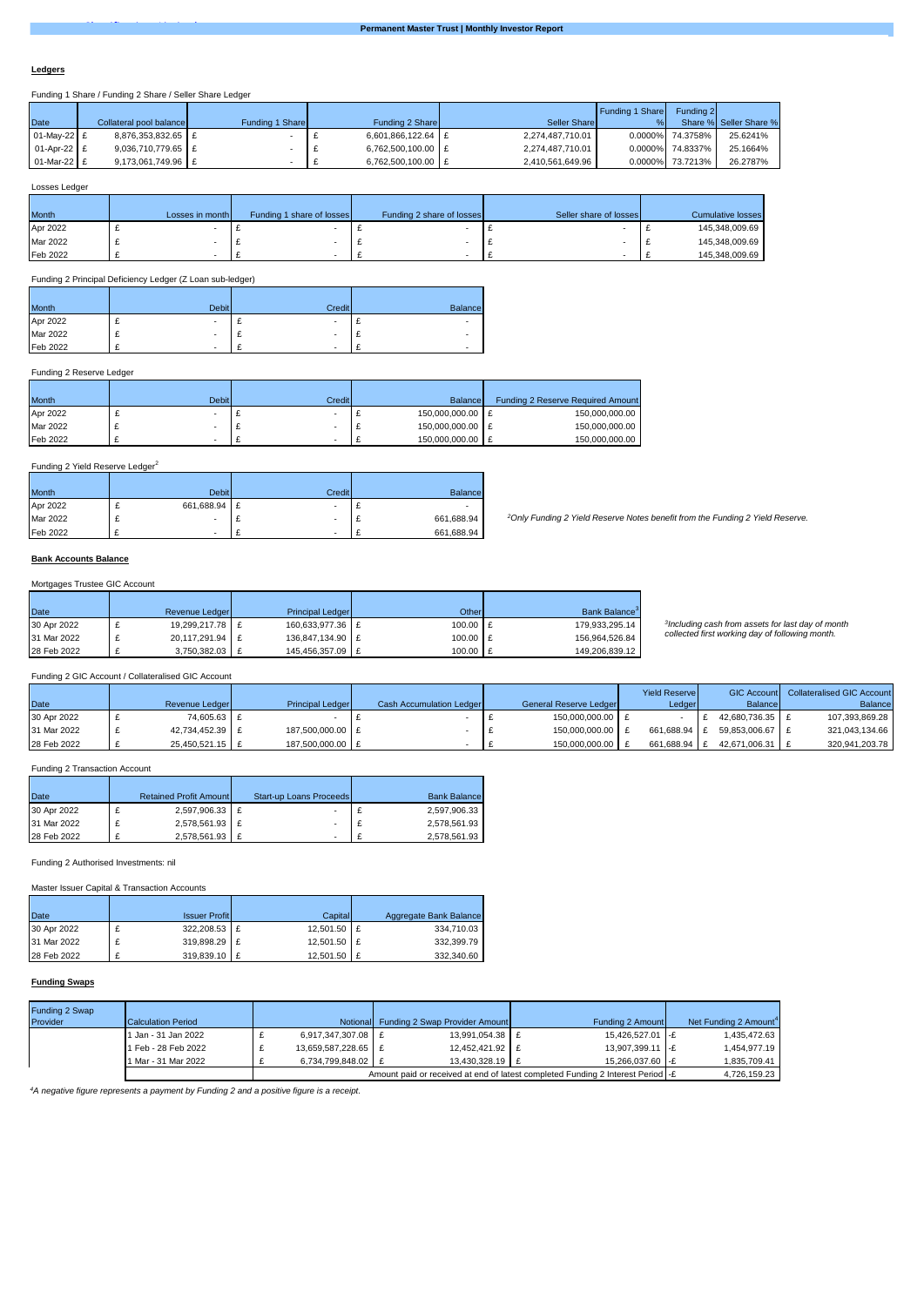#### **Ledgers**

Funding 1 Share / Funding 2 Share / Seller Share Ledger

|               |                         |                 |                    |                  | Funding 1 Share | Funding 2        |                        |
|---------------|-------------------------|-----------------|--------------------|------------------|-----------------|------------------|------------------------|
| Date          | Collateral pool balance | Funding 1 Share | Funding 2 Share    | Seller Share     |                 |                  | Share % Seller Share % |
| 01-May-22 £   | 8,876,353,832.65 £      |                 | 6,601,866,122.64 £ | 2,274,487,710.01 |                 | 0.0000% 74.3758% | 25.6241%               |
| $01-Apr-22$ £ | 9,036,710,779.65 £      |                 | 6,762,500,100.00 £ | 2,274,487,710.01 |                 | 0.0000% 74.8337% | 25.1664%               |
| 01-Mar-22 £   | $9.173.061.749.96$ E    |                 | 6.762.500.100.00 E | 2,410,561,649.96 |                 | 0.0000% 73.7213% | 26.2787%               |

## Losses Ledger

| <b>Month</b> | Losses in month | Funding 1 share of losses | Funding 2 share of losses | Seller share of losses | <b>Cumulative losses</b> |
|--------------|-----------------|---------------------------|---------------------------|------------------------|--------------------------|
| Apr 2022     |                 |                           |                           |                        | 145,348,009.69           |
| Mar 2022     |                 |                           |                           |                        | 145,348,009.69           |
| Feb 2022     |                 |                           |                           |                        | 145,348,009.69           |

# Funding 2 Principal Deficiency Ledger (Z Loan sub-ledger)

| <b>Month</b> | <b>Debit</b> | Credit | Balance |
|--------------|--------------|--------|---------|
| Apr 2022     |              |        |         |
| Mar 2022     |              |        |         |
| Feb 2022     |              | -      | ۰       |

## Funding 2 Reserve Ledger

| <b>Month</b> | <b>Debit</b> | Credit | <b>Balance</b>   | Funding 2 Reserve Required Amount |
|--------------|--------------|--------|------------------|-----------------------------------|
| Apr 2022     |              |        | 150.000.000.00 E | 150,000,000,00                    |
| Mar 2022     |              |        | 150.000.000.00 £ | 150,000,000,00                    |
| Feb 2022     |              |        | 150.000.000.00 E | 150,000,000,00                    |

# Funding 2 Yield Reserve Ledger<sup>2</sup>

| Month    |   | <b>Debit</b>             | Credit | <b>Balance</b> |
|----------|---|--------------------------|--------|----------------|
| Apr 2022 |   | 661,688.94               |        | ۰              |
| Mar 2022 | ∼ | $\overline{\phantom{a}}$ | ٠      | 661,688.94     |
| Feb 2022 | ı | $\overline{\phantom{a}}$ | ۰      | 661,688.94     |

*<sup>2</sup>Only Funding 2 Yield Reserve Notes benefit from the Funding 2 Yield Reserve.*

#### **Bank Accounts Balance** against selected loan warranties from clause 9 of the Mortgage Sale Agreement. The Seller

Mortgages Trustee GIC Account

| Date        | Revenue Ledger  | <b>Principal Ledger</b> | Other      | Bank Balance <sup>3</sup> |
|-------------|-----------------|-------------------------|------------|---------------------------|
| 30 Apr 2022 | 19.299.217.78 £ | 160.633.977.36 E        | $100.00$ E | 179.933.295.14            |
| 31 Mar 2022 | 20,117,291.94   | 136,847,134.90 £        | $100.00$ £ | 156.964.526.84            |
| 28 Feb 2022 | 3.750.382.03    | 145.456.357.09          | $100.00$ £ | 149,206,839.12            |

*3 Including cash from assets for last day of month collected first working day of following month.*

Funding 2 GIC Account / Collateralised GIC Account

|             |                   |                         |                                 |                        | <b>Yield Reserve</b> |                 | GIC Account Collateralised GIC Account |
|-------------|-------------------|-------------------------|---------------------------------|------------------------|----------------------|-----------------|----------------------------------------|
| Date        | Revenue Ledger    | <b>Principal Ledger</b> | <b>Cash Accumulation Ledger</b> | General Reserve Ledger | Ledger               | Balance         | <b>Balance</b>                         |
| 30 Apr 2022 | 74.605.63 £       |                         |                                 | 150.000.000.00 £       |                      | 42.680.736.35 E | 107,393,869.28                         |
| 31 Mar 2022 | 42,734,452.39 £   | 187,500,000.00 £        |                                 | 150,000,000.00 £       | 661.688.94           | 59.853.006.67   | 321,043,134.66                         |
| 28 Feb 2022 | $25.450.521.15$ E | 187.500.000.00 E        |                                 | 150,000,000,00 f       | 661.688.94           | 42.671.006.31   | 320,941,203.78                         |

## Funding 2 Transaction Account

| Date        | <b>Retained Profit Amount</b> | Start-up Loans Proceeds | <b>Bank Balance</b> |
|-------------|-------------------------------|-------------------------|---------------------|
| 30 Apr 2022 | 2,597,906.33 £                |                         | 2,597,906.33        |
| 31 Mar 2022 | 2,578,561.93 £                |                         | 2,578,561.93        |
| 28 Feb 2022 | 2.578.561.93                  |                         | 2,578,561.93        |

Funding 2 Authorised Investments: nil

Master Issuer Capital & Transaction Accounts

| Date        | <b>Issuer Profit</b> | Capital     | Aggregate Bank Balance |
|-------------|----------------------|-------------|------------------------|
| 30 Apr 2022 | 322,208.53 £         | 12,501.50 £ | 334,710.03             |
| 31 Mar 2022 | 319,898.29 £         | 12,501.50 £ | 332,399.79             |
| 28 Feb 2022 | 319.839.10 E         | 12.501.50 £ | 332.340.60             |

## **Funding Swaps**

| Funding 2 Swap |                           |                     |                                         |                                                                                 |                                   |
|----------------|---------------------------|---------------------|-----------------------------------------|---------------------------------------------------------------------------------|-----------------------------------|
| Provider       | <b>Calculation Period</b> |                     | Notional Funding 2 Swap Provider Amount | Funding 2 Amount                                                                | Net Funding 2 Amount <sup>4</sup> |
|                | 1 Jan - 31 Jan 2022       | 6.917.347.307.08 E  | 13.991.054.38 E                         | 15.426.527.01 -£                                                                | 1.435.472.63                      |
|                | 1 Feb - 28 Feb 2022       | 13.659.587.228.65 E | 12.452.421.92 E                         | 13.907.399.11 -£                                                                | 1.454.977.19                      |
|                | 1 Mar - 31 Mar 2022       | 6.734.799.848.02 E  | $13.430.328.19$ E                       | 15.266.037.60 -£                                                                | 1.835.709.41                      |
|                |                           |                     |                                         | Amount paid or received at end of latest completed Funding 2 Interest Period -£ | 4.726.159.23                      |

*4A negative figure represents a payment by Funding 2 and a positive figure is a receipt.*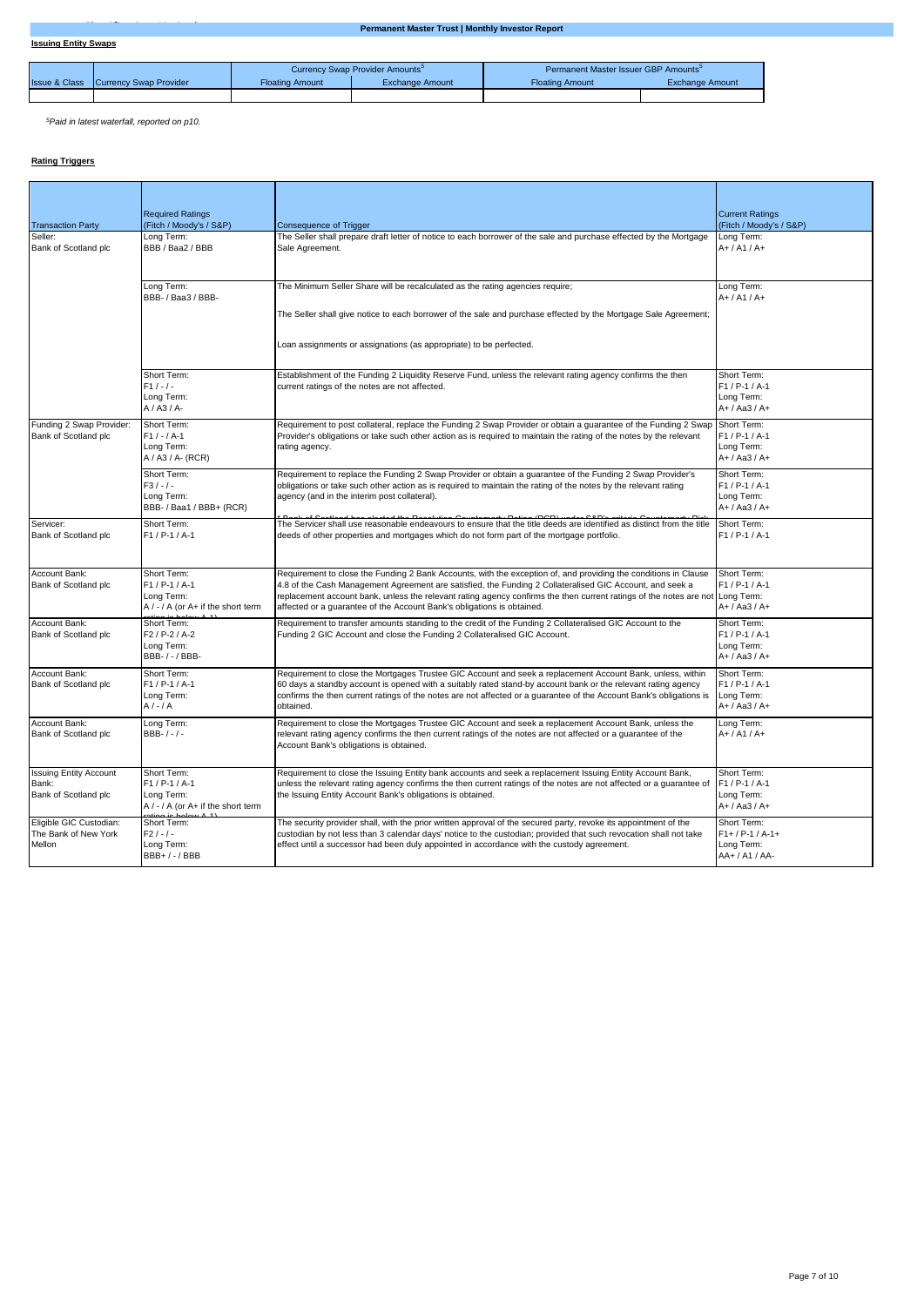|                          |                                |                        | Currency Swap Provider Amounts <sup>5</sup> | Permanent Master Issuer GBP Amounts <sup>5</sup> |                        |
|--------------------------|--------------------------------|------------------------|---------------------------------------------|--------------------------------------------------|------------------------|
| <b>Issue &amp; Class</b> | <b>ICurrency Swap Provider</b> | <b>Floating Amount</b> | Exchange Amount                             | <b>Floating Amount</b>                           | <b>Exchange Amount</b> |
|                          |                                |                        |                                             |                                                  |                        |

*<sup>5</sup>Paid in latest waterfall, reported on p10.*

# **Rating Triggers**

| <b>Transaction Party</b>                                       | <b>Required Ratings</b><br>(Fitch / Moody's / S&P)                                       | <b>Consequence of Trigger</b>                                                                                                                                                                                                                                                                                                                                                                                                          | <b>Current Ratings</b><br>(Fitch / Moody's / S&P)                 |  |  |  |
|----------------------------------------------------------------|------------------------------------------------------------------------------------------|----------------------------------------------------------------------------------------------------------------------------------------------------------------------------------------------------------------------------------------------------------------------------------------------------------------------------------------------------------------------------------------------------------------------------------------|-------------------------------------------------------------------|--|--|--|
| Seller:<br>Bank of Scotland plc                                | Long Term:<br>BBB / Baa2 / BBB                                                           | The Seller shall prepare draft letter of notice to each borrower of the sale and purchase effected by the Mortgage<br>Sale Agreement.                                                                                                                                                                                                                                                                                                  | Long Term:<br>$A+ / A1 / A+$                                      |  |  |  |
|                                                                | Long Term:<br>BBB- / Baa3 / BBB-                                                         | The Minimum Seller Share will be recalculated as the rating agencies require;<br>The Seller shall give notice to each borrower of the sale and purchase effected by the Mortgage Sale Agreement;<br>Loan assignments or assignations (as appropriate) to be perfected.                                                                                                                                                                 | Long Term:<br>$A+ / A1 / A+$                                      |  |  |  |
|                                                                | Short Term:<br>$F1 / - / -$<br>Long Term:<br>$A / A3 / A$ -                              | Establishment of the Funding 2 Liquidity Reserve Fund, unless the relevant rating agency confirms the then<br>current ratings of the notes are not affected.                                                                                                                                                                                                                                                                           | Short Term:<br>F1 / P-1 / A-1<br>Long Term:<br>A+ / Aa3 / A+      |  |  |  |
| Funding 2 Swap Provider:<br>Bank of Scotland plc               | Short Term:<br>$F1 / - / A-1$<br>Long Term:<br>A / A3 / A- (RCR)                         | Requirement to post collateral, replace the Funding 2 Swap Provider or obtain a guarantee of the Funding 2 Swap<br>Short Term:<br>F1 / P-1 / A-1<br>Provider's obligations or take such other action as is required to maintain the rating of the notes by the relevant<br>rating agency.<br>Long Term:<br>A+ / Aa3 / A+                                                                                                               |                                                                   |  |  |  |
|                                                                | Short Term:<br>$F3/-/ -$<br>Long Term:<br>BBB- / Baa1 / BBB+ (RCR)                       | Requirement to replace the Funding 2 Swap Provider or obtain a guarantee of the Funding 2 Swap Provider's<br>obligations or take such other action as is required to maintain the rating of the notes by the relevant rating<br>agency (and in the interim post collateral).                                                                                                                                                           | Short Term:<br>$F1 / P-1 / A-1$<br>Long Term:<br>A+ / Aa3 / A+    |  |  |  |
| Servicer:<br>Bank of Scotland plc                              | Short Term:<br>$F1 / P-1 / A-1$                                                          | The Servicer shall use reasonable endeavours to ensure that the title deeds are identified as distinct from the title<br>deeds of other properties and mortgages which do not form part of the mortgage portfolio.                                                                                                                                                                                                                     | Short Term:<br>F1 / P-1 / A-1                                     |  |  |  |
| Account Bank:<br>Bank of Scotland plc                          | Short Term:<br>$F1 / P-1 / A-1$<br>Long Term:<br>$A / - / A$ (or $A + if$ the short term | Requirement to close the Funding 2 Bank Accounts, with the exception of, and providing the conditions in Clause<br>4.8 of the Cash Management Agreement are satisfied, the Funding 2 Collateralised GIC Account, and seek a<br>replacement account bank, unless the relevant rating agency confirms the then current ratings of the notes are not Long Term:<br>affected or a guarantee of the Account Bank's obligations is obtained. | Short Term:<br>$F1 / P-1 / A-1$<br>A+ / Aa3 / A+                  |  |  |  |
| Account Bank:<br>Bank of Scotland plc                          | Short Term:<br>F2 / P-2 / A-2<br>Long Term:<br>BBB- / - / BBB-                           | Requirement to transfer amounts standing to the credit of the Funding 2 Collateralised GIC Account to the<br>Funding 2 GIC Account and close the Funding 2 Collateralised GIC Account.                                                                                                                                                                                                                                                 | Short Term:<br>F1 / P-1 / A-1<br>Long Term:<br>A+ / Aa3 / A+      |  |  |  |
| Account Bank:<br>Bank of Scotland plc                          | Short Term:<br>$F1 / P - 1 / A - 1$<br>Long Term:<br>$A/-/A$                             | Requirement to close the Mortgages Trustee GIC Account and seek a replacement Account Bank, unless, within<br>60 days a standby account is opened with a suitably rated stand-by account bank or the relevant rating agency<br>confirms the then current ratings of the notes are not affected or a guarantee of the Account Bank's obligations is<br>obtained.                                                                        | Short Term:<br>F1 / P-1 / A-1<br>Long Term:<br>A+ / Aa3 / A+      |  |  |  |
| Account Bank:<br>Bank of Scotland plc                          | Long Term:<br>BBB- $/ - / -$                                                             | Requirement to close the Mortgages Trustee GIC Account and seek a replacement Account Bank, unless the<br>relevant rating agency confirms the then current ratings of the notes are not affected or a quarantee of the<br>Account Bank's obligations is obtained.                                                                                                                                                                      | Long Term:<br>$A+ / A1 / A+$                                      |  |  |  |
| <b>Issuing Entity Account</b><br>Bank:<br>Bank of Scotland plc | Short Term:<br>F1 / P-1 / A-1<br>Long Term:<br>$A / - / A$ (or $A +$ if the short term   | Requirement to close the Issuing Entity bank accounts and seek a replacement Issuing Entity Account Bank,<br>unless the relevant rating agency confirms the then current ratings of the notes are not affected or a guarantee of<br>the Issuing Entity Account Bank's obligations is obtained.                                                                                                                                         | Short Term:<br>F1 / P-1 / A-1<br>Long Term:<br>A+ / Aa3 / A+      |  |  |  |
| Eligible GIC Custodian:<br>The Bank of New York<br>Mellon      | Short Term:<br>$F2/ - / -$<br>Long Term:<br>BBB+/-/BBB                                   | The security provider shall, with the prior written approval of the secured party, revoke its appointment of the<br>custodian by not less than 3 calendar days' notice to the custodian; provided that such revocation shall not take<br>effect until a successor had been duly appointed in accordance with the custody agreement.                                                                                                    | Short Term:<br>$F1+ / P-1 / A-1+$<br>Long Term:<br>AA+ / A1 / AA- |  |  |  |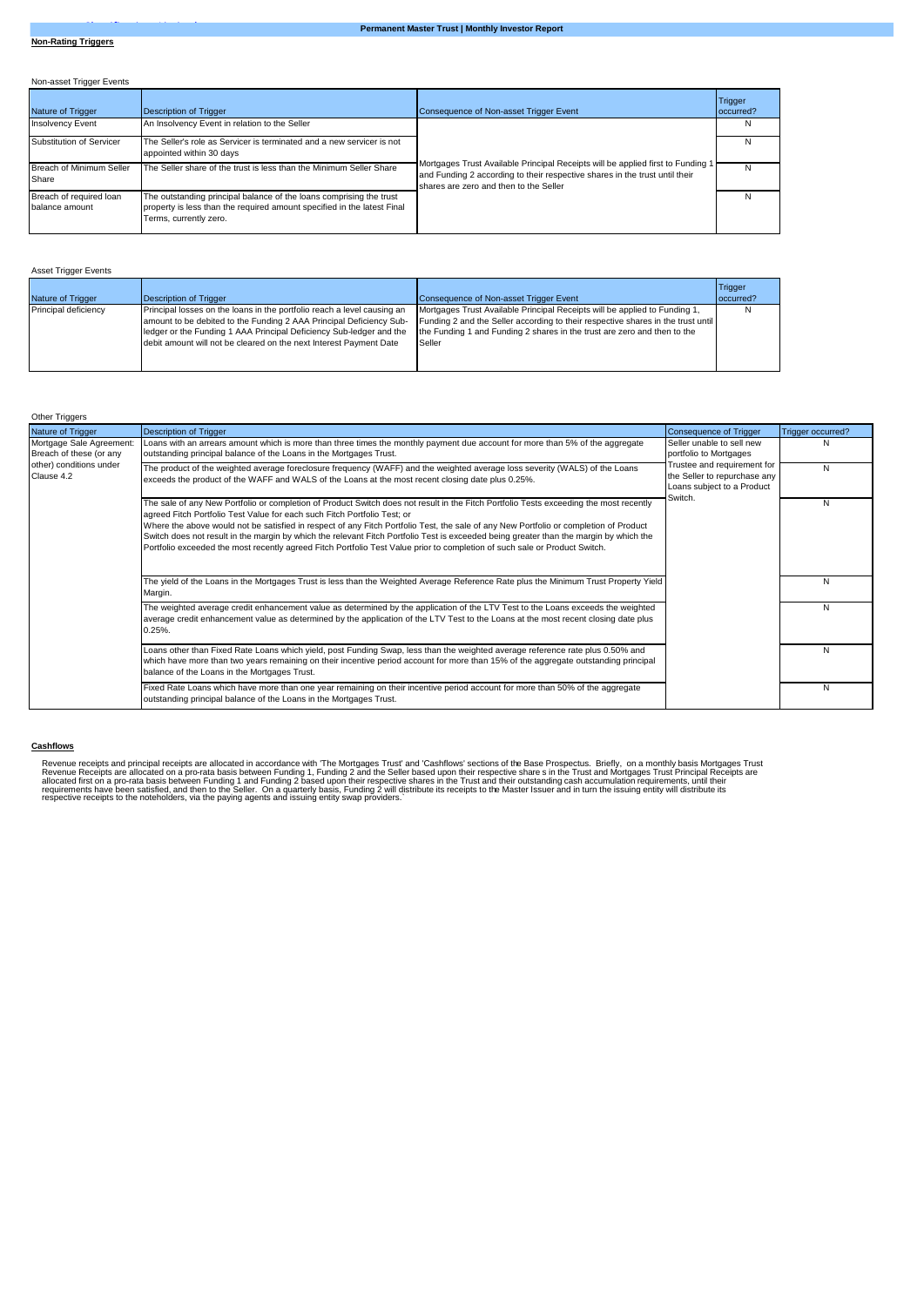Non-asset Trigger Events

| <b>Nature of Trigger</b>                  | Description of Trigger                                                                                                                                                   | Consequence of Non-asset Trigger Event                                                                                                                                                                   | Trigger<br>loccurred? |
|-------------------------------------------|--------------------------------------------------------------------------------------------------------------------------------------------------------------------------|----------------------------------------------------------------------------------------------------------------------------------------------------------------------------------------------------------|-----------------------|
| <b>Insolvency Event</b>                   | An Insolvency Event in relation to the Seller                                                                                                                            |                                                                                                                                                                                                          | N                     |
| Substitution of Servicer                  | The Seller's role as Servicer is terminated and a new servicer is not<br>appointed within 30 days                                                                        |                                                                                                                                                                                                          | N                     |
| Breach of Minimum Seller<br>Share         | The Seller share of the trust is less than the Minimum Seller Share                                                                                                      | Mortgages Trust Available Principal Receipts will be applied first to Funding 1<br>and Funding 2 according to their respective shares in the trust until their<br>shares are zero and then to the Seller | N                     |
| Breach of required loan<br>balance amount | The outstanding principal balance of the loans comprising the trust<br>property is less than the required amount specified in the latest Final<br>Terms, currently zero. |                                                                                                                                                                                                          | N                     |

|  |  | <b>Asset Trigger Events</b> |  |
|--|--|-----------------------------|--|
|--|--|-----------------------------|--|

| Nature of Trigger    | Description of Trigger                                                                                                                                                                                                                                                                      | Consequence of Non-asset Trigger Event                                                                                                                                                                                                               | Trigger<br>loccurred? |  |
|----------------------|---------------------------------------------------------------------------------------------------------------------------------------------------------------------------------------------------------------------------------------------------------------------------------------------|------------------------------------------------------------------------------------------------------------------------------------------------------------------------------------------------------------------------------------------------------|-----------------------|--|
| Principal deficiency | Principal losses on the loans in the portfolio reach a level causing an<br>amount to be debited to the Funding 2 AAA Principal Deficiency Sub-<br>ledger or the Funding 1 AAA Principal Deficiency Sub-ledger and the<br>debit amount will not be cleared on the next Interest Payment Date | Mortgages Trust Available Principal Receipts will be applied to Funding 1,<br>Funding 2 and the Seller according to their respective shares in the trust until<br>the Funding 1 and Funding 2 shares in the trust are zero and then to the<br>Seller |                       |  |

| Other Triggers                                                                               |                                                                                                                                                                                                                                                                                                                                                                                                                                                                                                                                                                                                                                     |                                                                                                      |                   |
|----------------------------------------------------------------------------------------------|-------------------------------------------------------------------------------------------------------------------------------------------------------------------------------------------------------------------------------------------------------------------------------------------------------------------------------------------------------------------------------------------------------------------------------------------------------------------------------------------------------------------------------------------------------------------------------------------------------------------------------------|------------------------------------------------------------------------------------------------------|-------------------|
| Nature of Trigger                                                                            | <b>Description of Trigger</b>                                                                                                                                                                                                                                                                                                                                                                                                                                                                                                                                                                                                       | Consequence of Trigger                                                                               | Trigger occurred? |
| Mortgage Sale Agreement:<br>Breach of these (or any<br>other) conditions under<br>Clause 4.2 | Loans with an arrears amount which is more than three times the monthly payment due account for more than 5% of the aggregate<br>outstanding principal balance of the Loans in the Mortgages Trust.                                                                                                                                                                                                                                                                                                                                                                                                                                 | Seller unable to sell new<br>portfolio to Mortgages                                                  | N                 |
|                                                                                              | The product of the weighted average foreclosure frequency (WAFF) and the weighted average loss severity (WALS) of the Loans<br>exceeds the product of the WAFF and WALS of the Loans at the most recent closing date plus 0.25%.                                                                                                                                                                                                                                                                                                                                                                                                    | Trustee and requirement for<br>the Seller to repurchase any<br>Loans subject to a Product<br>Switch. | N                 |
|                                                                                              | The sale of any New Portfolio or completion of Product Switch does not result in the Fitch Portfolio Tests exceeding the most recently<br>agreed Fitch Portfolio Test Value for each such Fitch Portfolio Test; or<br>Where the above would not be satisfied in respect of any Fitch Portfolio Test, the sale of any New Portfolio or completion of Product<br>Switch does not result in the margin by which the relevant Fitch Portfolio Test is exceeded being greater than the margin by which the<br>Portfolio exceeded the most recently agreed Fitch Portfolio Test Value prior to completion of such sale or Product Switch. |                                                                                                      | N                 |
|                                                                                              | The yield of the Loans in the Mortgages Trust is less than the Weighted Average Reference Rate plus the Minimum Trust Property Yield<br>Margin.                                                                                                                                                                                                                                                                                                                                                                                                                                                                                     |                                                                                                      | N                 |
|                                                                                              | The weighted average credit enhancement value as determined by the application of the LTV Test to the Loans exceeds the weighted<br>average credit enhancement value as determined by the application of the LTV Test to the Loans at the most recent closing date plus<br>$0.25%$ .                                                                                                                                                                                                                                                                                                                                                |                                                                                                      | N                 |
|                                                                                              | Loans other than Fixed Rate Loans which yield, post Funding Swap, less than the weighted average reference rate plus 0.50% and<br>which have more than two years remaining on their incentive period account for more than 15% of the aggregate outstanding principal<br>balance of the Loans in the Mortgages Trust.                                                                                                                                                                                                                                                                                                               |                                                                                                      | N                 |
|                                                                                              | Fixed Rate Loans which have more than one year remaining on their incentive period account for more than 50% of the aggregate<br>outstanding principal balance of the Loans in the Mortgages Trust.                                                                                                                                                                                                                                                                                                                                                                                                                                 |                                                                                                      | N                 |

## **Cashflows**

Revenue receipts and principal receipts are allocated in accordance with "The Mortgages Trust" and "Cashflows' sections of the Base Prospectus. Briefly, on a monthly basis Merceipts are allocated on a pro-rata basis betwee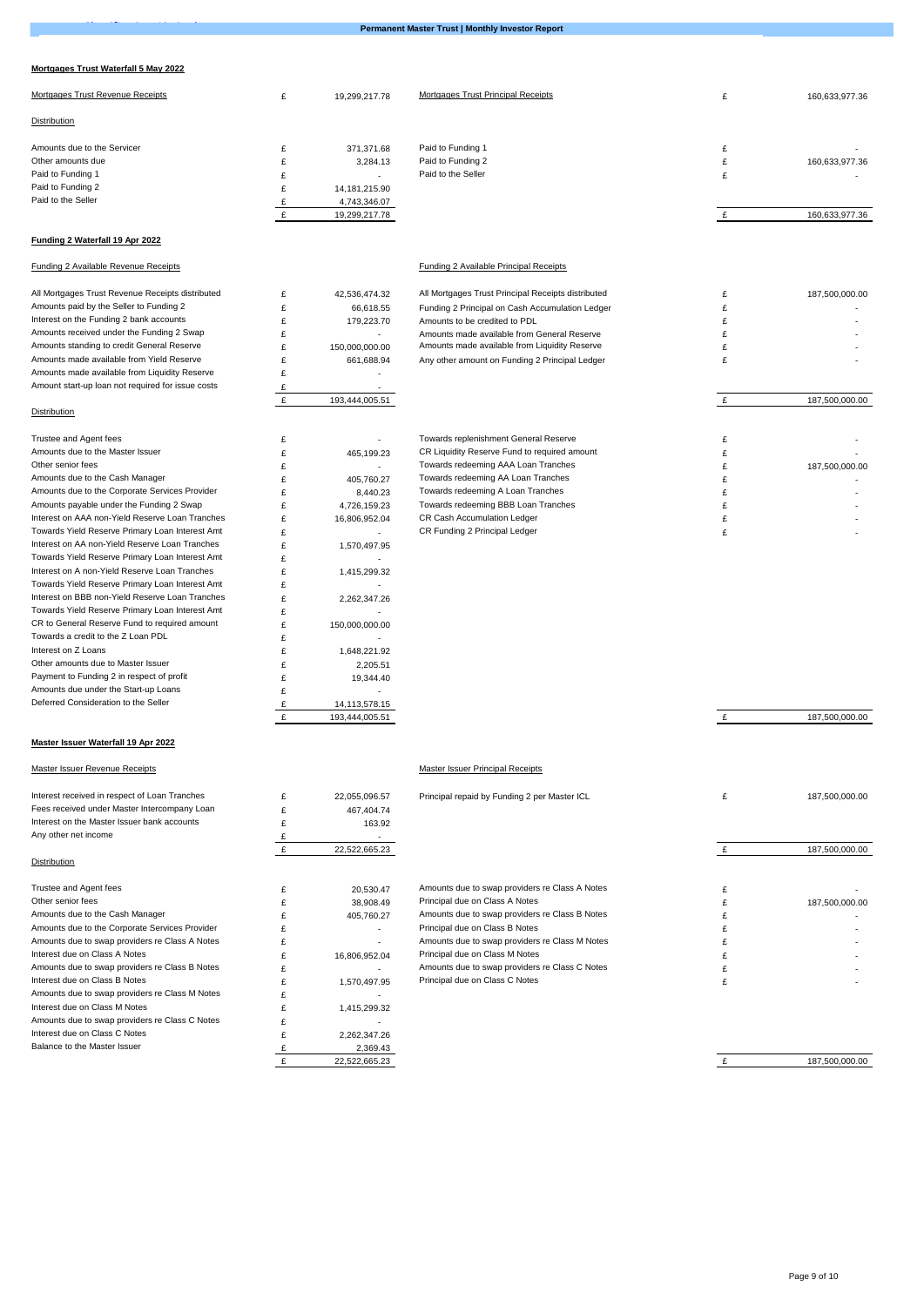## **Mortgages Trust Waterfall 5 May 2022**

Balance to the Master Issuer

**Permanent Master Trust | Monthly Investor Report** 

| Mortgages Trust Revenue Receipts                                                                 | £      | 19,299,217.78                    | Mortgages Trust Principal Receipts                 | £ | 160,633,977.36 |
|--------------------------------------------------------------------------------------------------|--------|----------------------------------|----------------------------------------------------|---|----------------|
| Distribution                                                                                     |        |                                  |                                                    |   |                |
|                                                                                                  |        |                                  |                                                    |   |                |
| Amounts due to the Servicer                                                                      | £      | 371,371.68                       | Paid to Funding 1                                  | £ |                |
| Other amounts due<br>Paid to Funding 1                                                           | £      | 3.284.13                         | Paid to Funding 2<br>Paid to the Seller            | £ | 160,633,977.36 |
| Paid to Funding 2                                                                                | £<br>£ | $\sim$                           |                                                    | £ |                |
| Paid to the Seller                                                                               | £      | 14, 181, 215. 90<br>4,743,346.07 |                                                    |   |                |
|                                                                                                  | £      | 19,299,217.78                    |                                                    | £ | 160,633,977.36 |
|                                                                                                  |        |                                  |                                                    |   |                |
| Funding 2 Waterfall 19 Apr 2022                                                                  |        |                                  |                                                    |   |                |
| Funding 2 Available Revenue Receipts                                                             |        |                                  | <b>Funding 2 Available Principal Receipts</b>      |   |                |
| All Mortgages Trust Revenue Receipts distributed                                                 | £      | 42,536,474.32                    | All Mortgages Trust Principal Receipts distributed | £ | 187,500,000.00 |
| Amounts paid by the Seller to Funding 2                                                          | £      | 66,618.55                        | Funding 2 Principal on Cash Accumulation Ledger    | £ |                |
| Interest on the Funding 2 bank accounts                                                          | £      | 179,223.70                       | Amounts to be credited to PDL                      | £ |                |
| Amounts received under the Funding 2 Swap                                                        | £      | $\sim$                           | Amounts made available from General Reserve        | £ |                |
| Amounts standing to credit General Reserve                                                       | £      | 150,000,000.00                   | Amounts made available from Liquidity Reserve      | £ |                |
| Amounts made available from Yield Reserve                                                        | £      | 661,688.94                       | Any other amount on Funding 2 Principal Ledger     | £ |                |
| Amounts made available from Liquidity Reserve                                                    | £      | ×                                |                                                    |   |                |
| Amount start-up loan not required for issue costs                                                | £      | $\sim$                           |                                                    |   |                |
| Distribution                                                                                     | £      | 193,444,005.51                   |                                                    | £ | 187,500,000.00 |
|                                                                                                  |        |                                  |                                                    |   |                |
| Trustee and Agent fees                                                                           | £      | ÷.                               | Towards replenishment General Reserve              | £ |                |
| Amounts due to the Master Issuer                                                                 | £      | 465,199.23                       | CR Liquidity Reserve Fund to required amount       | £ |                |
| Other senior fees                                                                                | £      | $\overline{\phantom{a}}$         | Towards redeeming AAA Loan Tranches                | £ | 187,500,000.00 |
| Amounts due to the Cash Manager                                                                  | £      | 405,760.27                       | Towards redeeming AA Loan Tranches                 | £ |                |
| Amounts due to the Corporate Services Provider                                                   | £      | 8,440.23                         | Towards redeeming A Loan Tranches                  | £ |                |
| Amounts payable under the Funding 2 Swap                                                         | £      | 4,726,159.23                     | Towards redeeming BBB Loan Tranches                | £ |                |
| Interest on AAA non-Yield Reserve Loan Tranches                                                  | £      | 16,806,952.04                    | CR Cash Accumulation Ledger                        | £ |                |
| Towards Yield Reserve Primary Loan Interest Amt                                                  | £      | $\sim$                           | CR Funding 2 Principal Ledger                      | £ |                |
| Interest on AA non-Yield Reserve Loan Tranches                                                   | £      | 1,570,497.95                     |                                                    |   |                |
| Towards Yield Reserve Primary Loan Interest Amt<br>Interest on A non-Yield Reserve Loan Tranches | £      | $\sim$                           |                                                    |   |                |
| Towards Yield Reserve Primary Loan Interest Amt                                                  | £      | 1,415,299.32<br>$\sim$           |                                                    |   |                |
| Interest on BBB non-Yield Reserve Loan Tranches                                                  | £<br>£ | 2,262,347.26                     |                                                    |   |                |
| Towards Yield Reserve Primary Loan Interest Amt                                                  | £      |                                  |                                                    |   |                |
| CR to General Reserve Fund to required amount                                                    | £      | 150,000,000.00                   |                                                    |   |                |
| Towards a credit to the Z Loan PDL                                                               | £      | $\sim$                           |                                                    |   |                |
| Interest on Z Loans                                                                              | £      | 1,648,221.92                     |                                                    |   |                |
| Other amounts due to Master Issuer                                                               | £      | 2,205.51                         |                                                    |   |                |
| Payment to Funding 2 in respect of profit                                                        | £      | 19,344.40                        |                                                    |   |                |
| Amounts due under the Start-up Loans                                                             | £      |                                  |                                                    |   |                |
| Deferred Consideration to the Seller                                                             | £      | 14,113,578.15                    |                                                    |   |                |
|                                                                                                  | £      | 193,444,005.51                   |                                                    | £ | 187,500,000.00 |
|                                                                                                  |        |                                  |                                                    |   |                |
| Master Issuer Waterfall 19 Apr 2022                                                              |        |                                  |                                                    |   |                |
| Master Issuer Revenue Receipts                                                                   |        |                                  | Master Issuer Principal Receipts                   |   |                |
| Interest received in respect of Loan Tranches                                                    | £      | 22,055,096.57                    | Principal repaid by Funding 2 per Master ICL       | £ | 187,500,000.00 |
| Fees received under Master Intercompany Loan                                                     | £      | 467,404.74                       |                                                    |   |                |
| Interest on the Master Issuer bank accounts                                                      | £      | 163.92                           |                                                    |   |                |
| Any other net income                                                                             | £      |                                  |                                                    |   |                |
|                                                                                                  | £      | 22,522,665.23                    |                                                    | £ | 187,500,000.00 |
| Distribution                                                                                     |        |                                  |                                                    |   |                |
| Trustee and Agent fees                                                                           | £      | 20,530.47                        | Amounts due to swap providers re Class A Notes     | £ |                |
| Other senior fees                                                                                | £      | 38,908.49                        | Principal due on Class A Notes                     | £ | 187,500,000.00 |
| Amounts due to the Cash Manager                                                                  | £      | 405,760.27                       | Amounts due to swap providers re Class B Notes     | £ |                |
| Amounts due to the Corporate Services Provider                                                   | £      | $\sim$                           | Principal due on Class B Notes                     | £ |                |
| Amounts due to swap providers re Class A Notes                                                   | £      |                                  | Amounts due to swap providers re Class M Notes     | £ |                |
| Interest due on Class A Notes                                                                    | £      | 16,806,952.04                    | Principal due on Class M Notes                     | £ |                |
| Amounts due to swap providers re Class B Notes                                                   | £      | ×                                | Amounts due to swap providers re Class C Notes     | £ |                |
| Interest due on Class B Notes                                                                    | £      | 1,570,497.95                     | Principal due on Class C Notes                     | £ |                |
| Amounts due to swap providers re Class M Notes                                                   | £      |                                  |                                                    |   |                |
| Interest due on Class M Notes                                                                    | £      | 1,415,299.32                     |                                                    |   |                |
| Amounts due to swap providers re Class C Notes                                                   | £      | $\sim$                           |                                                    |   |                |
| Interest due on Class C Notes                                                                    | £      | 2,262,347.26                     |                                                    |   |                |

£ 22,522,665.23 £ 2,369.43

£ 187,500,000.00